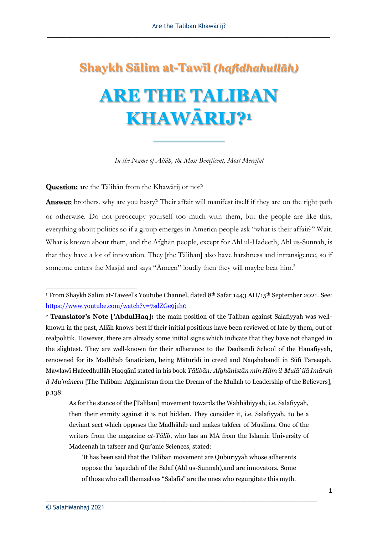## **Shaykh Sālim at-Tawīl** *(hafidhahullāh)* **ARE THE TALIBAN KHAWĀRIJ?<sup>1</sup>**

*In the Name of Allāh, the Most Beneficent, Most Merciful*

**\_\_\_\_\_\_\_\_\_\_**

**Question:** are the Tālibān from the Khawārij or not?

**Answer:** brothers, why are you hasty? Their affair will manifest itself if they are on the right path or otherwise. Do not preoccupy yourself too much with them, but the people are like this, everything about politics so if a group emerges in America people ask "what is their affair?" Wait. What is known about them, and the Afghān people, except for Ahl ul-Hadeeth, Ahl us-Sunnah, is that they have a lot of innovation. They [the Tāliban] also have harshness and intransigence, so if someone enters the Masjid and says "Āmeen" loudly then they will maybe beat him.<sup>2</sup>

As for the stance of the [Taliban] movement towards the Wahhābiyyah, i.e. Salafiyyah, then their enmity against it is not hidden. They consider it, i.e. Salafiyyah, to be a deviant sect which opposes the Madhāhib and makes takfeer of Muslims. One of the writers from the magazine *at-Tālib*, who has an MA from the Islamic University of Madeenah in tafseer and Qur'anic Sciences, stated:

\_\_\_\_\_\_\_\_\_\_\_\_\_\_\_\_\_\_\_\_\_\_\_\_\_\_\_\_\_\_\_\_\_\_\_\_\_\_\_\_\_\_\_\_\_\_\_\_\_\_\_\_\_\_\_\_\_\_\_\_\_\_\_\_\_\_\_\_\_\_\_\_\_\_\_\_\_\_

<sup>1</sup> From Shaykh Sālim at-Taweel's Youtube Channel, dated 8th Safar 1443 AH/15th September 2021. See: <https://www.youtube.com/watch?v=7sdZGe9j1h0>

<sup>2</sup> **Translator's Note ['AbdulHaq]:** the main position of the Taliban against Salafiyyah was wellknown in the past, Allāh knows best if their initial positions have been reviewed of late by them, out of realpolitik. However, there are already some initial signs which indicate that they have not changed in the slightest. They are well-known for their adherence to the Deobandī School of the Hanafiyyah, renowned for its Madhhab fanaticism, being Māturīdī in creed and Naqshabandī in Sūfī Tareeqah. Mawlawī Hafeedhullāh Haqqānī stated in his book *Tālibān: Afghānistān min Hilm il-Mulā' ilā Imārah il-Mu'mineen* [The Taliban: Afghanistan from the Dream of the Mullah to Leadership of the Believers], p.138:

<sup>&#</sup>x27;It has been said that the Taliban movement are Qubūriyyah whose adherents oppose the 'aqeedah of the Salaf (Ahl us-Sunnah),and are innovators. Some of those who call themselves "Salafis" are the ones who regurgitate this myth.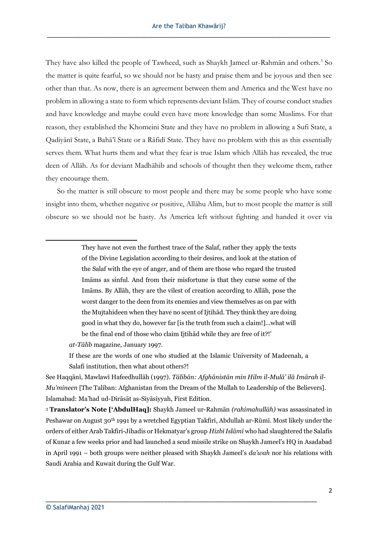They have also killed the people of Tawheed, such as Shaykh Jameel ur-Rahmān and others.<sup>3</sup> So the matter is quite fearful, so we should not be hasty and praise them and be joyous and then see other than that. As now, there is an agreement between them and America and the West have no problem in allowing a state to form which represents deviant Islām. They of course conduct studies and have knowledge and maybe could even have more knowledge than some Muslims. For that reason, they established the Khomeini State and they have no problem in allowing a Sufi State, a Qadiyānī State, a Bahā'ī State or a Rāfidī State. They have no problem with this as this essentially serves them. What hurts them and what they fear is true Islam which Allāh has revealed, the true deen of Allāh. As for deviant Madhāhib and schools of thought then they welcome them, rather they encourage them.

 So the matter is still obscure to most people and there may be some people who have some insight into them, whether negative or positive, Allāhu Alim, but to most people the matter is still obscure so we should not be hasty. As America left without fighting and handed it over via

> They have not even the furthest trace of the Salaf, rather they apply the texts of the Divine Legislation according to their desires, and look at the station of the Salaf with the eye of anger, and of them are those who regard the trusted Imāms as sinful. And from their misfortune is that they curse some of the Imāms. By Allāh, they are the vilest of creation according to Allāh, pose the worst danger to the deen from its enemies and view themselves as on par with the Mujtahideen when they have no scent of Ijtihād. They think they are doing good in what they do, however far [is the truth from such a claim!]…what will be the final end of those who claim Ijtihād while they are free of it?!'

*at-Tālib* magazine, January 1997.

If these are the words of one who studied at the Islamic University of Madeenah, a Salafi institution, then what about others?!

See Haqqānī, Mawlawī Hafeedhullāh (1997). *Tālibān: Afghānistān min Hilm il-Mulā' ilā Imārah il-Mu'mineen* [The Taliban: Afghanistan from the Dream of the Mullah to Leadership of the Believers]. Islamabad: Ma'had ud-Dirāsāt as-Siyāsiyyah, First Edition.

<sup>3</sup> **Translator's Note ['AbdulHaq]:** Shaykh Jameel ur-Rahmān *(rahimahullāh)* was assassinated in Peshawar on August 30th 1991 by a wretched Egyptian Takfiri, Abdullah ar-Rūmī. Most likely under the orders of either Arab Takfiri-Jihadis or Hekmatyar's group *Hizbī Islāmī* who had slaughtered the Salafis of Kunar a few weeks prior and had launched a scud missile strike on Shaykh Jameel's HQ in Asadabad in April 1991 – both groups were neither pleased with Shaykh Jameel's *da'wah* nor his relations with Saudi Arabia and Kuwait during the Gulf War.

\_\_\_\_\_\_\_\_\_\_\_\_\_\_\_\_\_\_\_\_\_\_\_\_\_\_\_\_\_\_\_\_\_\_\_\_\_\_\_\_\_\_\_\_\_\_\_\_\_\_\_\_\_\_\_\_\_\_\_\_\_\_\_\_\_\_\_\_\_\_\_\_\_\_\_\_\_\_